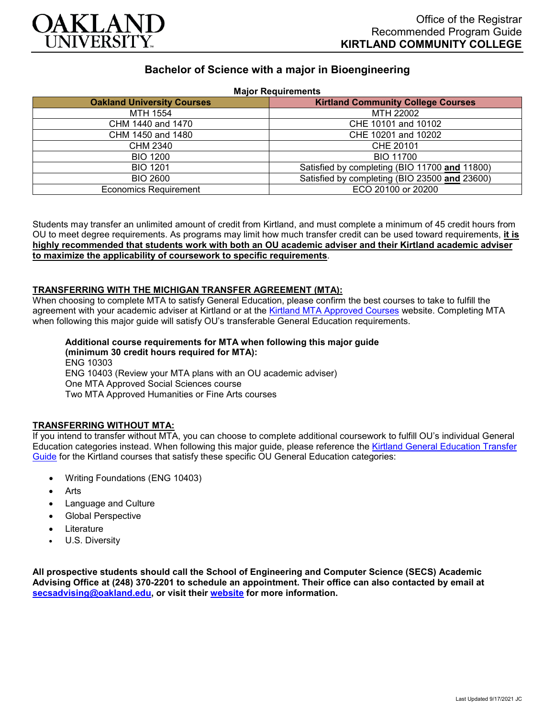

# **Bachelor of Science with a major in Bioengineering**

| <b>Major Requirements</b>         |                                               |
|-----------------------------------|-----------------------------------------------|
| <b>Oakland University Courses</b> | <b>Kirtland Community College Courses</b>     |
| MTH 1554                          | MTH 22002                                     |
| CHM 1440 and 1470                 | CHE 10101 and 10102                           |
| CHM 1450 and 1480                 | CHE 10201 and 10202                           |
| CHM 2340                          | CHE 20101                                     |
| <b>BIO 1200</b>                   | <b>BIO 11700</b>                              |
| <b>BIO 1201</b>                   | Satisfied by completing (BIO 11700 and 11800) |
| BIO 2600                          | Satisfied by completing (BIO 23500 and 23600) |
| <b>Economics Requirement</b>      | ECO 20100 or 20200                            |

Students may transfer an unlimited amount of credit from Kirtland, and must complete a minimum of 45 credit hours from OU to meet degree requirements. As programs may limit how much transfer credit can be used toward requirements, **it is highly recommended that students work with both an OU academic adviser and their Kirtland academic adviser to maximize the applicability of coursework to specific requirements**.

#### **TRANSFERRING WITH THE MICHIGAN TRANSFER AGREEMENT (MTA):**

When choosing to complete MTA to satisfy General Education, please confirm the best courses to take to fulfill the agreement with your academic adviser at Kirtland or at the [Kirtland MTA Approved Courses](https://www.kirtland.edu/registrar/michigan-transfer-agreement) website. Completing MTA when following this major guide will satisfy OU's transferable General Education requirements.

## **Additional course requirements for MTA when following this major guide**

**(minimum 30 credit hours required for MTA):** ENG 10303 ENG 10403 (Review your MTA plans with an OU academic adviser) One MTA Approved Social Sciences course Two MTA Approved Humanities or Fine Arts courses

#### **TRANSFERRING WITHOUT MTA:**

If you intend to transfer without MTA, you can choose to complete additional coursework to fulfill OU's individual General Education categories instead. When following this major guide, please reference the [Kirtland General Education Transfer](https://www.oakland.edu/Assets/Oakland/program-guides/kirtland-community-college/university-general-education-requirements/Kirtland%20Gen%20Ed.pdf)  [Guide](https://www.oakland.edu/Assets/Oakland/program-guides/kirtland-community-college/university-general-education-requirements/Kirtland%20Gen%20Ed.pdf) for the Kirtland courses that satisfy these specific OU General Education categories:

- Writing Foundations (ENG 10403)
- Arts
- Language and Culture
- Global Perspective
- **Literature**
- U.S. Diversity

**All prospective students should call the School of Engineering and Computer Science (SECS) Academic Advising Office at (248) 370-2201 to schedule an appointment. Their office can also contacted by email at [secsadvising@oakland.edu,](mailto:secsadvising@oakland.edu) or visit their [website](https://wwwp.oakland.edu/secs/advising/) for more information.**